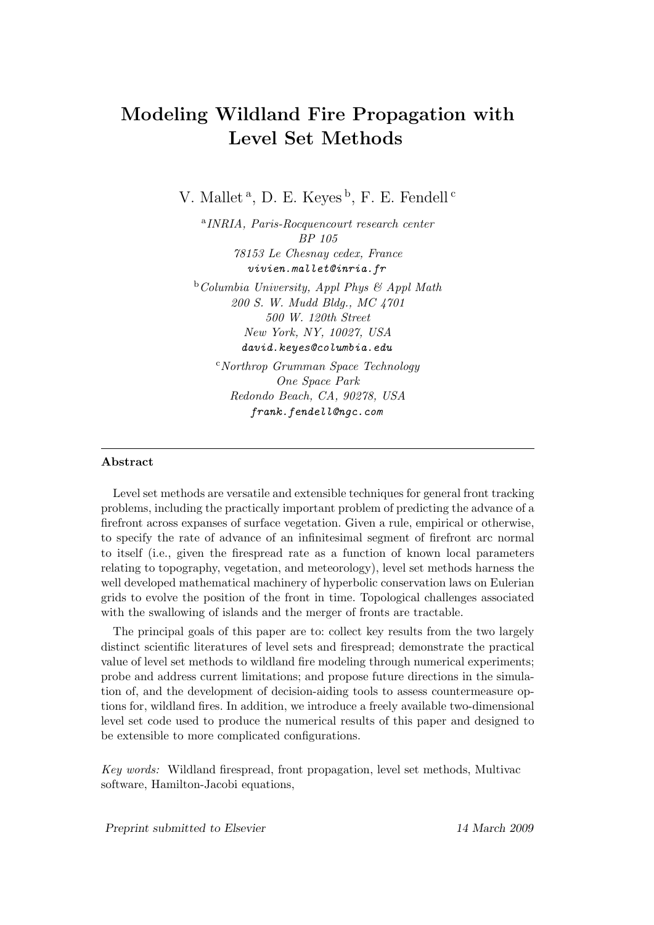# Modeling Wildland Fire Propagation with Level Set Methods

V. Mallet<sup>a</sup>, D. E. Keyes<sup>b</sup>, F. E. Fendell<sup>c</sup>

a *INRIA, Paris-Rocquencourt research center BP 105 78153 Le Chesnay cedex, France* vivien.mallet@inria.fr

<sup>b</sup>*Columbia University, Appl Phys & Appl Math 200 S. W. Mudd Bldg., MC 4701 500 W. 120th Street New York, NY, 10027, USA* david.keyes@columbia.edu

<sup>c</sup>*Northrop Grumman Space Technology One Space Park Redondo Beach, CA, 90278, USA* frank.fendell@ngc.com

#### Abstract

Level set methods are versatile and extensible techniques for general front tracking problems, including the practically important problem of predicting the advance of a firefront across expanses of surface vegetation. Given a rule, empirical or otherwise, to specify the rate of advance of an infinitesimal segment of firefront arc normal to itself (i.e., given the firespread rate as a function of known local parameters relating to topography, vegetation, and meteorology), level set methods harness the well developed mathematical machinery of hyperbolic conservation laws on Eulerian grids to evolve the position of the front in time. Topological challenges associated with the swallowing of islands and the merger of fronts are tractable.

The principal goals of this paper are to: collect key results from the two largely distinct scientific literatures of level sets and firespread; demonstrate the practical value of level set methods to wildland fire modeling through numerical experiments; probe and address current limitations; and propose future directions in the simulation of, and the development of decision-aiding tools to assess countermeasure options for, wildland fires. In addition, we introduce a freely available two-dimensional level set code used to produce the numerical results of this paper and designed to be extensible to more complicated configurations.

*Key words:* Wildland firespread, front propagation, level set methods, Multivac software, Hamilton-Jacobi equations,

Preprint submitted to Elsevier 14 March 2009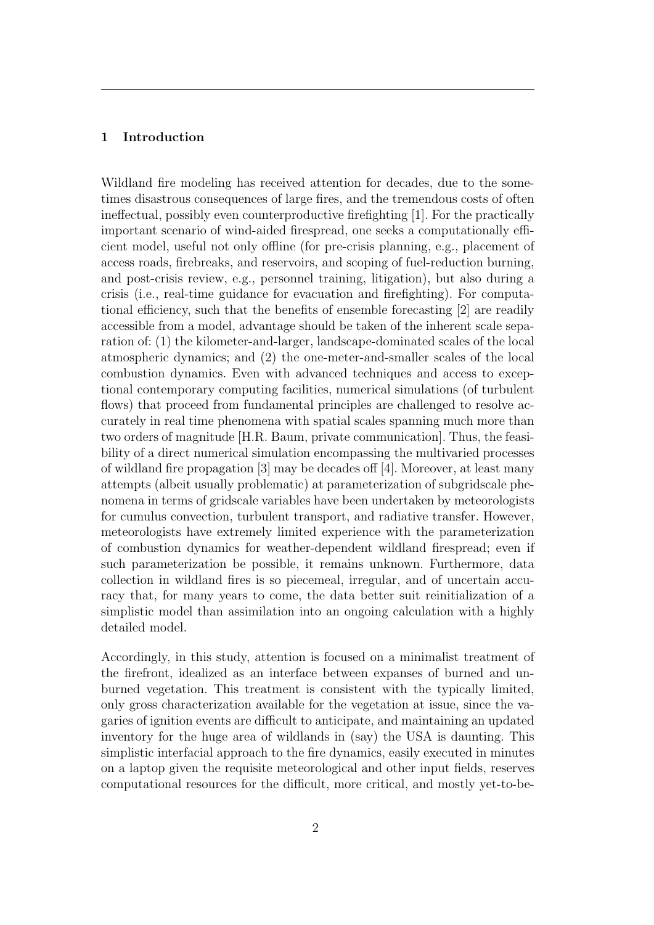# 1 Introduction

Wildland fire modeling has received attention for decades, due to the sometimes disastrous consequences of large fires, and the tremendous costs of often ineffectual, possibly even counterproductive firefighting [1]. For the practically important scenario of wind-aided firespread, one seeks a computationally efficient model, useful not only offline (for pre-crisis planning, e.g., placement of access roads, firebreaks, and reservoirs, and scoping of fuel-reduction burning, and post-crisis review, e.g., personnel training, litigation), but also during a crisis (i.e., real-time guidance for evacuation and firefighting). For computational efficiency, such that the benefits of ensemble forecasting [2] are readily accessible from a model, advantage should be taken of the inherent scale separation of: (1) the kilometer-and-larger, landscape-dominated scales of the local atmospheric dynamics; and (2) the one-meter-and-smaller scales of the local combustion dynamics. Even with advanced techniques and access to exceptional contemporary computing facilities, numerical simulations (of turbulent flows) that proceed from fundamental principles are challenged to resolve accurately in real time phenomena with spatial scales spanning much more than two orders of magnitude [H.R. Baum, private communication]. Thus, the feasibility of a direct numerical simulation encompassing the multivaried processes of wildland fire propagation [3] may be decades off [4]. Moreover, at least many attempts (albeit usually problematic) at parameterization of subgridscale phenomena in terms of gridscale variables have been undertaken by meteorologists for cumulus convection, turbulent transport, and radiative transfer. However, meteorologists have extremely limited experience with the parameterization of combustion dynamics for weather-dependent wildland firespread; even if such parameterization be possible, it remains unknown. Furthermore, data collection in wildland fires is so piecemeal, irregular, and of uncertain accuracy that, for many years to come, the data better suit reinitialization of a simplistic model than assimilation into an ongoing calculation with a highly detailed model.

Accordingly, in this study, attention is focused on a minimalist treatment of the firefront, idealized as an interface between expanses of burned and unburned vegetation. This treatment is consistent with the typically limited, only gross characterization available for the vegetation at issue, since the vagaries of ignition events are difficult to anticipate, and maintaining an updated inventory for the huge area of wildlands in (say) the USA is daunting. This simplistic interfacial approach to the fire dynamics, easily executed in minutes on a laptop given the requisite meteorological and other input fields, reserves computational resources for the difficult, more critical, and mostly yet-to-be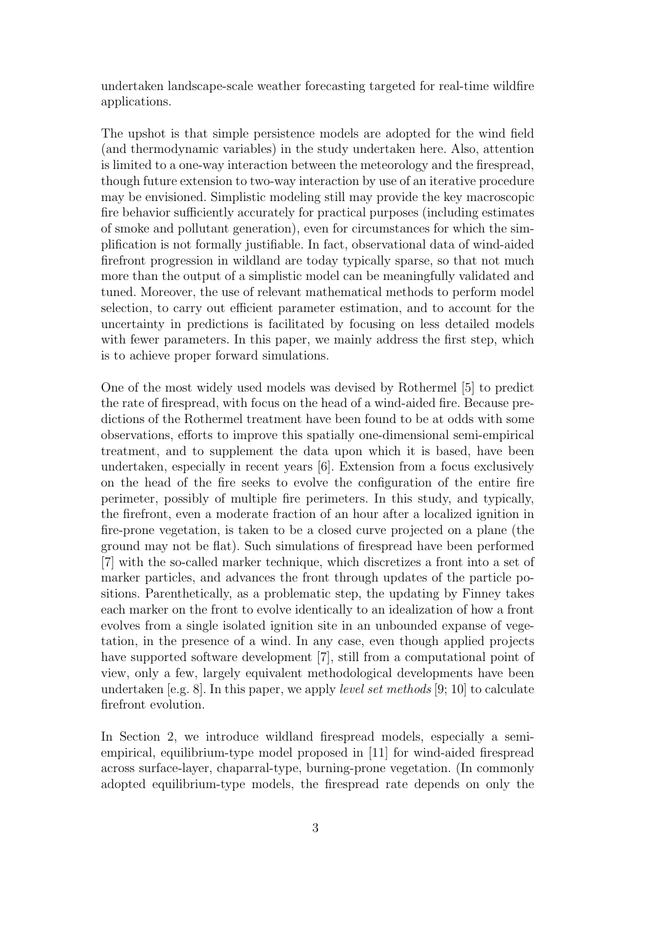undertaken landscape-scale weather forecasting targeted for real-time wildfire applications.

The upshot is that simple persistence models are adopted for the wind field (and thermodynamic variables) in the study undertaken here. Also, attention is limited to a one-way interaction between the meteorology and the firespread, though future extension to two-way interaction by use of an iterative procedure may be envisioned. Simplistic modeling still may provide the key macroscopic fire behavior sufficiently accurately for practical purposes (including estimates of smoke and pollutant generation), even for circumstances for which the simplification is not formally justifiable. In fact, observational data of wind-aided firefront progression in wildland are today typically sparse, so that not much more than the output of a simplistic model can be meaningfully validated and tuned. Moreover, the use of relevant mathematical methods to perform model selection, to carry out efficient parameter estimation, and to account for the uncertainty in predictions is facilitated by focusing on less detailed models with fewer parameters. In this paper, we mainly address the first step, which is to achieve proper forward simulations.

One of the most widely used models was devised by Rothermel [5] to predict the rate of firespread, with focus on the head of a wind-aided fire. Because predictions of the Rothermel treatment have been found to be at odds with some observations, efforts to improve this spatially one-dimensional semi-empirical treatment, and to supplement the data upon which it is based, have been undertaken, especially in recent years [6]. Extension from a focus exclusively on the head of the fire seeks to evolve the configuration of the entire fire perimeter, possibly of multiple fire perimeters. In this study, and typically, the firefront, even a moderate fraction of an hour after a localized ignition in fire-prone vegetation, is taken to be a closed curve projected on a plane (the ground may not be flat). Such simulations of firespread have been performed [7] with the so-called marker technique, which discretizes a front into a set of marker particles, and advances the front through updates of the particle positions. Parenthetically, as a problematic step, the updating by Finney takes each marker on the front to evolve identically to an idealization of how a front evolves from a single isolated ignition site in an unbounded expanse of vegetation, in the presence of a wind. In any case, even though applied projects have supported software development [7], still from a computational point of view, only a few, largely equivalent methodological developments have been undertaken [e.g. 8]. In this paper, we apply *level set methods* [9; 10] to calculate firefront evolution.

In Section 2, we introduce wildland firespread models, especially a semiempirical, equilibrium-type model proposed in [11] for wind-aided firespread across surface-layer, chaparral-type, burning-prone vegetation. (In commonly adopted equilibrium-type models, the firespread rate depends on only the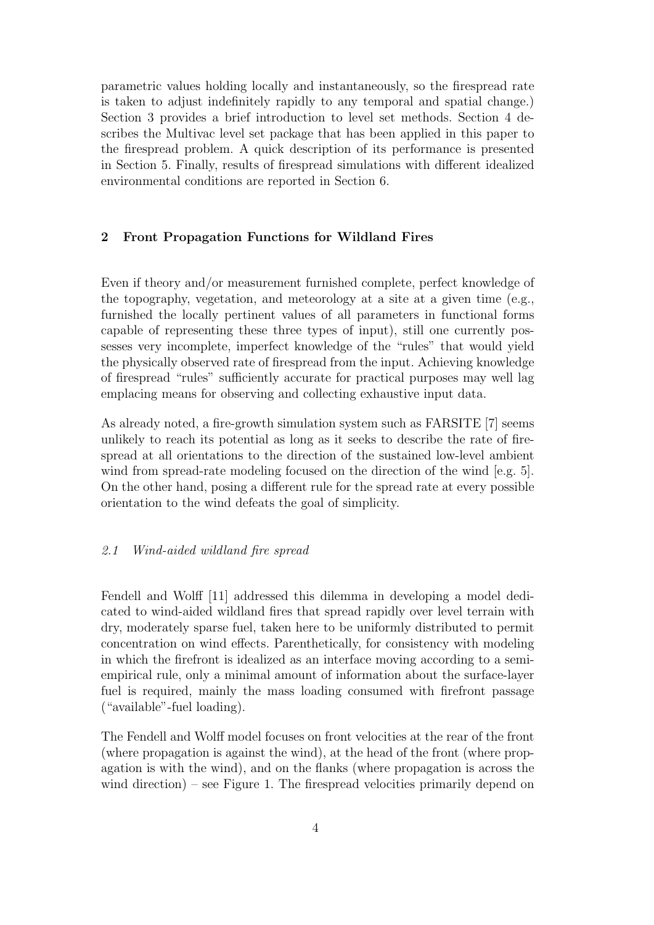parametric values holding locally and instantaneously, so the firespread rate is taken to adjust indefinitely rapidly to any temporal and spatial change.) Section 3 provides a brief introduction to level set methods. Section 4 describes the Multivac level set package that has been applied in this paper to the firespread problem. A quick description of its performance is presented in Section 5. Finally, results of firespread simulations with different idealized environmental conditions are reported in Section 6.

## 2 Front Propagation Functions for Wildland Fires

Even if theory and/or measurement furnished complete, perfect knowledge of the topography, vegetation, and meteorology at a site at a given time (e.g., furnished the locally pertinent values of all parameters in functional forms capable of representing these three types of input), still one currently possesses very incomplete, imperfect knowledge of the "rules" that would yield the physically observed rate of firespread from the input. Achieving knowledge of firespread "rules" sufficiently accurate for practical purposes may well lag emplacing means for observing and collecting exhaustive input data.

As already noted, a fire-growth simulation system such as FARSITE [7] seems unlikely to reach its potential as long as it seeks to describe the rate of firespread at all orientations to the direction of the sustained low-level ambient wind from spread-rate modeling focused on the direction of the wind  $[e.g. 5]$ . On the other hand, posing a different rule for the spread rate at every possible orientation to the wind defeats the goal of simplicity.

## 2.1 Wind-aided wildland fire spread

Fendell and Wolff [11] addressed this dilemma in developing a model dedicated to wind-aided wildland fires that spread rapidly over level terrain with dry, moderately sparse fuel, taken here to be uniformly distributed to permit concentration on wind effects. Parenthetically, for consistency with modeling in which the firefront is idealized as an interface moving according to a semiempirical rule, only a minimal amount of information about the surface-layer fuel is required, mainly the mass loading consumed with firefront passage ("available"-fuel loading).

The Fendell and Wolff model focuses on front velocities at the rear of the front (where propagation is against the wind), at the head of the front (where propagation is with the wind), and on the flanks (where propagation is across the wind direction) – see Figure 1. The firespread velocities primarily depend on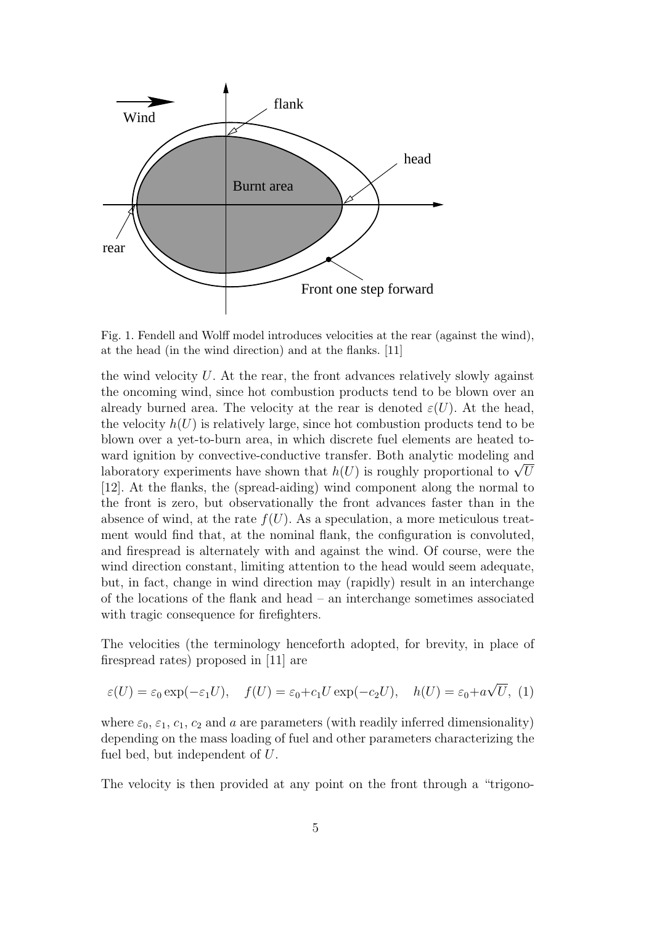

Fig. 1. Fendell and Wolff model introduces velocities at the rear (against the wind), at the head (in the wind direction) and at the flanks. [11]

the wind velocity  $U$ . At the rear, the front advances relatively slowly against the oncoming wind, since hot combustion products tend to be blown over an already burned area. The velocity at the rear is denoted  $\varepsilon(U)$ . At the head, the velocity  $h(U)$  is relatively large, since hot combustion products tend to be blown over a yet-to-burn area, in which discrete fuel elements are heated toward ignition by convective-conductive transfer. Both analytic modeling and laboratory experiments have shown that  $h(U)$  is roughly proportional to  $\sqrt{U}$ [12]. At the flanks, the (spread-aiding) wind component along the normal to the front is zero, but observationally the front advances faster than in the absence of wind, at the rate  $f(U)$ . As a speculation, a more meticulous treatment would find that, at the nominal flank, the configuration is convoluted, and firespread is alternately with and against the wind. Of course, were the wind direction constant, limiting attention to the head would seem adequate, but, in fact, change in wind direction may (rapidly) result in an interchange of the locations of the flank and head – an interchange sometimes associated with tragic consequence for firefighters.

The velocities (the terminology henceforth adopted, for brevity, in place of firespread rates) proposed in [11] are

$$
\varepsilon(U) = \varepsilon_0 \exp(-\varepsilon_1 U), \quad f(U) = \varepsilon_0 + c_1 U \exp(-c_2 U), \quad h(U) = \varepsilon_0 + a\sqrt{U}, \tag{1}
$$

where  $\varepsilon_0$ ,  $\varepsilon_1$ ,  $c_2$  and a are parameters (with readily inferred dimensionality) depending on the mass loading of fuel and other parameters characterizing the fuel bed, but independent of U.

The velocity is then provided at any point on the front through a "trigono-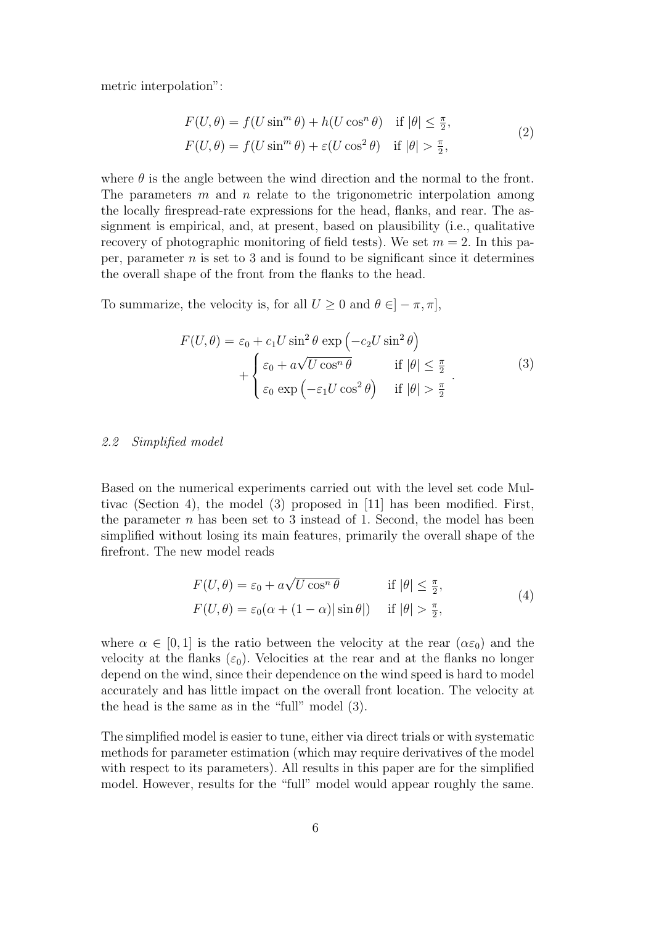metric interpolation":

$$
F(U, \theta) = f(U \sin^{m} \theta) + h(U \cos^{n} \theta) \quad \text{if } |\theta| \leq \frac{\pi}{2},
$$
  

$$
F(U, \theta) = f(U \sin^{m} \theta) + \varepsilon(U \cos^{2} \theta) \quad \text{if } |\theta| > \frac{\pi}{2},
$$
 (2)

where  $\theta$  is the angle between the wind direction and the normal to the front. The parameters  $m$  and  $n$  relate to the trigonometric interpolation among the locally firespread-rate expressions for the head, flanks, and rear. The assignment is empirical, and, at present, based on plausibility (i.e., qualitative recovery of photographic monitoring of field tests). We set  $m = 2$ . In this paper, parameter  $n$  is set to 3 and is found to be significant since it determines the overall shape of the front from the flanks to the head.

To summarize, the velocity is, for all  $U \geq 0$  and  $\theta \in ]-\pi, \pi]$ ,

$$
F(U, \theta) = \varepsilon_0 + c_1 U \sin^2 \theta \exp\left(-c_2 U \sin^2 \theta\right) + \begin{cases} \varepsilon_0 + a \sqrt{U \cos^n \theta} & \text{if } |\theta| \le \frac{\pi}{2} \\ \varepsilon_0 \exp\left(-\varepsilon_1 U \cos^2 \theta\right) & \text{if } |\theta| > \frac{\pi}{2} \end{cases}
$$
 (3)

#### 2.2 Simplified model

Based on the numerical experiments carried out with the level set code Multivac (Section 4), the model (3) proposed in [11] has been modified. First, the parameter  $n$  has been set to 3 instead of 1. Second, the model has been simplified without losing its main features, primarily the overall shape of the firefront. The new model reads

$$
F(U, \theta) = \varepsilon_0 + a\sqrt{U\cos^n\theta} \quad \text{if } |\theta| \le \frac{\pi}{2},
$$
  

$$
F(U, \theta) = \varepsilon_0(\alpha + (1 - \alpha)|\sin\theta|) \quad \text{if } |\theta| > \frac{\pi}{2},
$$
 (4)

where  $\alpha \in [0, 1]$  is the ratio between the velocity at the rear  $(\alpha \varepsilon_0)$  and the velocity at the flanks ( $\varepsilon_0$ ). Velocities at the rear and at the flanks no longer depend on the wind, since their dependence on the wind speed is hard to model accurately and has little impact on the overall front location. The velocity at the head is the same as in the "full" model (3).

The simplified model is easier to tune, either via direct trials or with systematic methods for parameter estimation (which may require derivatives of the model with respect to its parameters). All results in this paper are for the simplified model. However, results for the "full" model would appear roughly the same.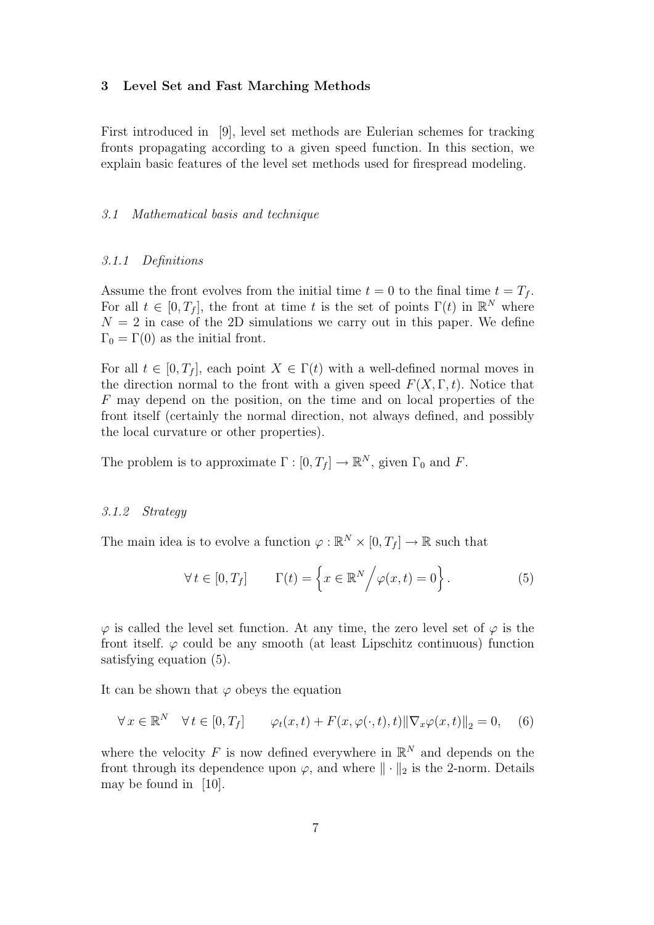## 3 Level Set and Fast Marching Methods

First introduced in [9], level set methods are Eulerian schemes for tracking fronts propagating according to a given speed function. In this section, we explain basic features of the level set methods used for firespread modeling.

## 3.1 Mathematical basis and technique

#### 3.1.1 Definitions

Assume the front evolves from the initial time  $t = 0$  to the final time  $t = T_f$ . For all  $t \in [0, T_f]$ , the front at time t is the set of points  $\Gamma(t)$  in  $\mathbb{R}^N$  where  $N = 2$  in case of the 2D simulations we carry out in this paper. We define  $\Gamma_0 = \Gamma(0)$  as the initial front.

For all  $t \in [0, T_f]$ , each point  $X \in \Gamma(t)$  with a well-defined normal moves in the direction normal to the front with a given speed  $F(X, \Gamma, t)$ . Notice that F may depend on the position, on the time and on local properties of the front itself (certainly the normal direction, not always defined, and possibly the local curvature or other properties).

The problem is to approximate  $\Gamma : [0, T_f] \to \mathbb{R}^N$ , given  $\Gamma_0$  and F.

#### 3.1.2 Strategy

The main idea is to evolve a function  $\varphi : \mathbb{R}^N \times [0, T_f] \to \mathbb{R}$  such that

$$
\forall t \in [0, T_f] \qquad \Gamma(t) = \left\{ x \in \mathbb{R}^N \bigg/ \varphi(x, t) = 0 \right\}. \tag{5}
$$

 $\varphi$  is called the level set function. At any time, the zero level set of  $\varphi$  is the front itself.  $\varphi$  could be any smooth (at least Lipschitz continuous) function satisfying equation (5).

It can be shown that  $\varphi$  obeys the equation

$$
\forall x \in \mathbb{R}^N \quad \forall t \in [0, T_f] \qquad \varphi_t(x, t) + F(x, \varphi(\cdot, t), t) \|\nabla_x \varphi(x, t)\|_2 = 0,\tag{6}
$$

where the velocity  $F$  is now defined everywhere in  $\mathbb{R}^N$  and depends on the front through its dependence upon  $\varphi$ , and where  $\|\cdot\|_2$  is the 2-norm. Details may be found in [10].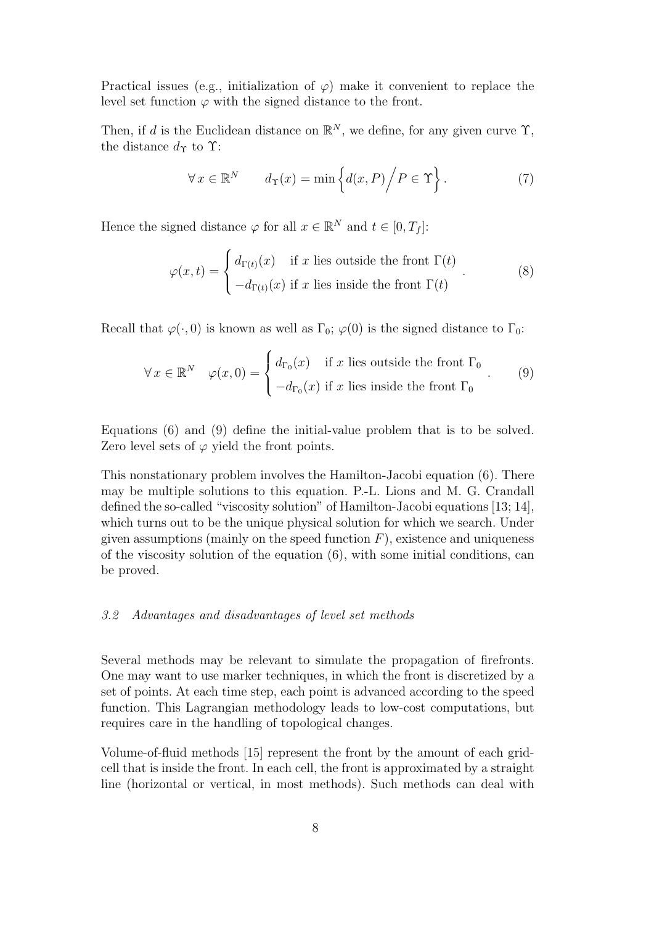Practical issues (e.g., initialization of  $\varphi$ ) make it convenient to replace the level set function  $\varphi$  with the signed distance to the front.

Then, if d is the Euclidean distance on  $\mathbb{R}^N$ , we define, for any given curve  $\Upsilon$ , the distance  $d_{\Upsilon}$  to  $\Upsilon$ :

$$
\forall x \in \mathbb{R}^N \qquad d_{\Upsilon}(x) = \min \left\{ d(x, P) / P \in \Upsilon \right\}.
$$
 (7)

Hence the signed distance  $\varphi$  for all  $x \in \mathbb{R}^N$  and  $t \in [0, T_f]$ :

$$
\varphi(x,t) = \begin{cases} d_{\Gamma(t)}(x) & \text{if } x \text{ lies outside the front } \Gamma(t) \\ -d_{\Gamma(t)}(x) & \text{if } x \text{ lies inside the front } \Gamma(t) \end{cases} \tag{8}
$$

Recall that  $\varphi(\cdot,0)$  is known as well as  $\Gamma_0$ ;  $\varphi(0)$  is the signed distance to  $\Gamma_0$ .

$$
\forall x \in \mathbb{R}^N \quad \varphi(x,0) = \begin{cases} d_{\Gamma_0}(x) & \text{if } x \text{ lies outside the front } \Gamma_0 \\ -d_{\Gamma_0}(x) & \text{if } x \text{ lies inside the front } \Gamma_0 \end{cases} . \tag{9}
$$

Equations (6) and (9) define the initial-value problem that is to be solved. Zero level sets of  $\varphi$  yield the front points.

This nonstationary problem involves the Hamilton-Jacobi equation (6). There may be multiple solutions to this equation. P.-L. Lions and M. G. Crandall defined the so-called "viscosity solution" of Hamilton-Jacobi equations [13; 14], which turns out to be the unique physical solution for which we search. Under given assumptions (mainly on the speed function  $F$ ), existence and uniqueness of the viscosity solution of the equation  $(6)$ , with some initial conditions, can be proved.

## 3.2 Advantages and disadvantages of level set methods

Several methods may be relevant to simulate the propagation of firefronts. One may want to use marker techniques, in which the front is discretized by a set of points. At each time step, each point is advanced according to the speed function. This Lagrangian methodology leads to low-cost computations, but requires care in the handling of topological changes.

Volume-of-fluid methods [15] represent the front by the amount of each gridcell that is inside the front. In each cell, the front is approximated by a straight line (horizontal or vertical, in most methods). Such methods can deal with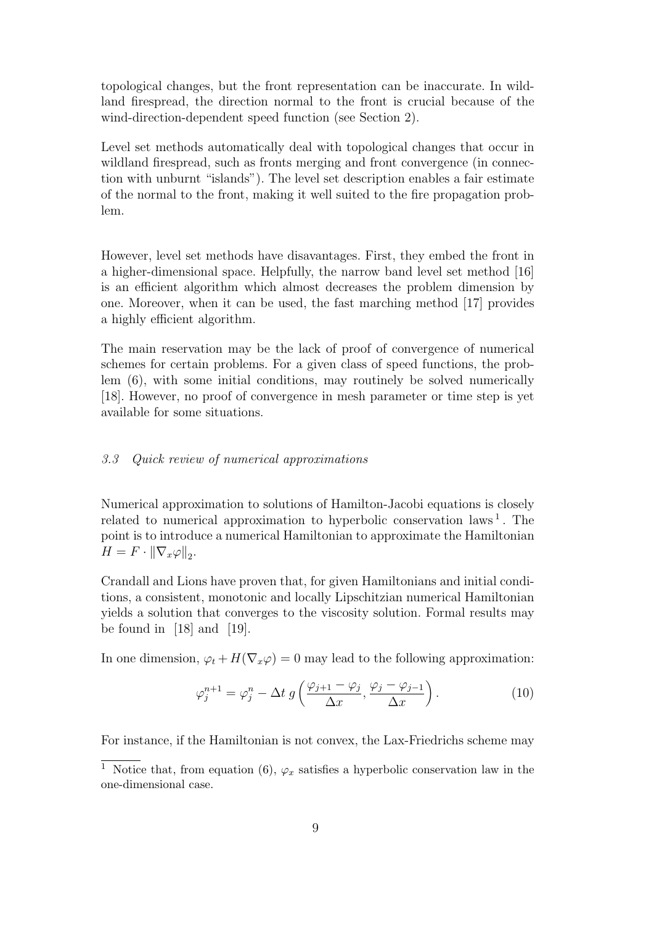topological changes, but the front representation can be inaccurate. In wildland firespread, the direction normal to the front is crucial because of the wind-direction-dependent speed function (see Section 2).

Level set methods automatically deal with topological changes that occur in wildland firespread, such as fronts merging and front convergence (in connection with unburnt "islands"). The level set description enables a fair estimate of the normal to the front, making it well suited to the fire propagation problem.

However, level set methods have disavantages. First, they embed the front in a higher-dimensional space. Helpfully, the narrow band level set method [16] is an efficient algorithm which almost decreases the problem dimension by one. Moreover, when it can be used, the fast marching method [17] provides a highly efficient algorithm.

The main reservation may be the lack of proof of convergence of numerical schemes for certain problems. For a given class of speed functions, the problem (6), with some initial conditions, may routinely be solved numerically [18]. However, no proof of convergence in mesh parameter or time step is yet available for some situations.

## 3.3 Quick review of numerical approximations

Numerical approximation to solutions of Hamilton-Jacobi equations is closely related to numerical approximation to hyperbolic conservation laws<sup>1</sup>. The point is to introduce a numerical Hamiltonian to approximate the Hamiltonian  $H = F \cdot \|\nabla_x \varphi\|_2.$ 

Crandall and Lions have proven that, for given Hamiltonians and initial conditions, a consistent, monotonic and locally Lipschitzian numerical Hamiltonian yields a solution that converges to the viscosity solution. Formal results may be found in  $[18]$  and  $[19]$ .

In one dimension,  $\varphi_t + H(\nabla_x \varphi) = 0$  may lead to the following approximation:

$$
\varphi_j^{n+1} = \varphi_j^n - \Delta t \, g\left(\frac{\varphi_{j+1} - \varphi_j}{\Delta x}, \frac{\varphi_j - \varphi_{j-1}}{\Delta x}\right). \tag{10}
$$

For instance, if the Hamiltonian is not convex, the Lax-Friedrichs scheme may

<sup>&</sup>lt;sup>1</sup> Notice that, from equation (6),  $\varphi_x$  satisfies a hyperbolic conservation law in the one-dimensional case.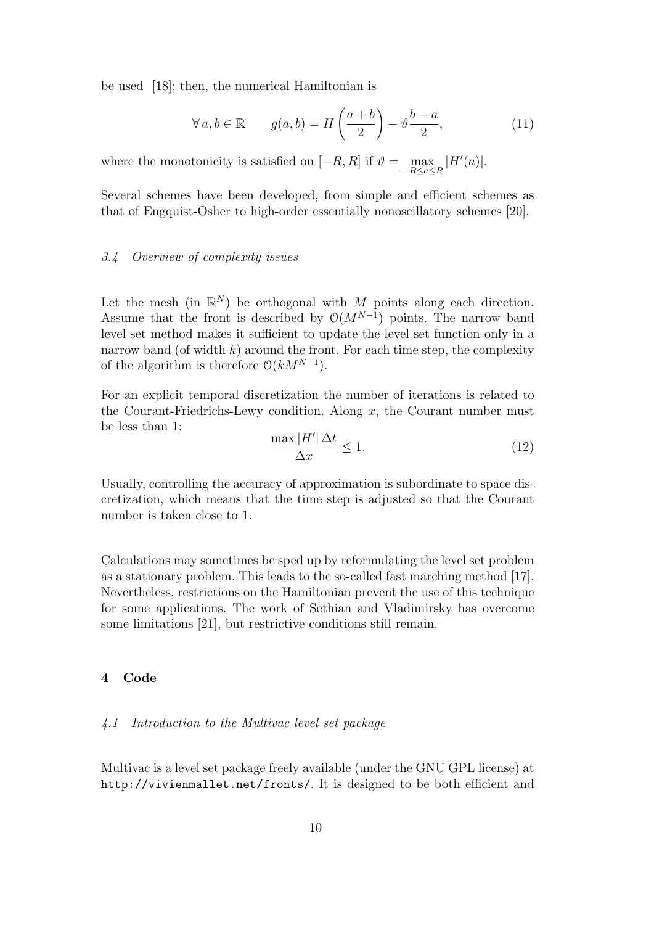be used [18]; then, the numerical Hamiltonian is

$$
\forall a, b \in \mathbb{R} \qquad g(a, b) = H\left(\frac{a+b}{2}\right) - \vartheta \frac{b-a}{2},\tag{11}
$$

where the monotonicity is satisfied on  $[-R, R]$  if  $\vartheta = \max_{-R \le a \le R} |H'(a)|$ .

Several schemes have been developed, from simple and efficient schemes as that of Engquist-Osher to high-order essentially nonoscillatory schemes [20].

## 3.4 Overview of complexity issues

Let the mesh (in  $\mathbb{R}^N$ ) be orthogonal with M points along each direction. Assume that the front is described by  $O(M^{N-1})$  points. The narrow band level set method makes it sufficient to update the level set function only in a narrow band (of width  $k$ ) around the front. For each time step, the complexity of the algorithm is therefore  $O(kM^{N-1})$ .

For an explicit temporal discretization the number of iterations is related to the Courant-Friedrichs-Lewy condition. Along  $x$ , the Courant number must be less than 1:

$$
\frac{\max |H'| \Delta t}{\Delta x} \le 1. \tag{12}
$$

Usually, controlling the accuracy of approximation is subordinate to space discretization, which means that the time step is adjusted so that the Courant number is taken close to 1.

Calculations may sometimes be sped up by reformulating the level set problem as a stationary problem. This leads to the so-called fast marching method [17]. Nevertheless, restrictions on the Hamiltonian prevent the use of this technique for some applications. The work of Sethian and Vladimirsky has overcome some limitations [21], but restrictive conditions still remain.

## 4 Code

#### 4.1 Introduction to the Multivac level set package

Multivac is a level set package freely available (under the GNU GPL license) at http://vivienmallet.net/fronts/. It is designed to be both efficient and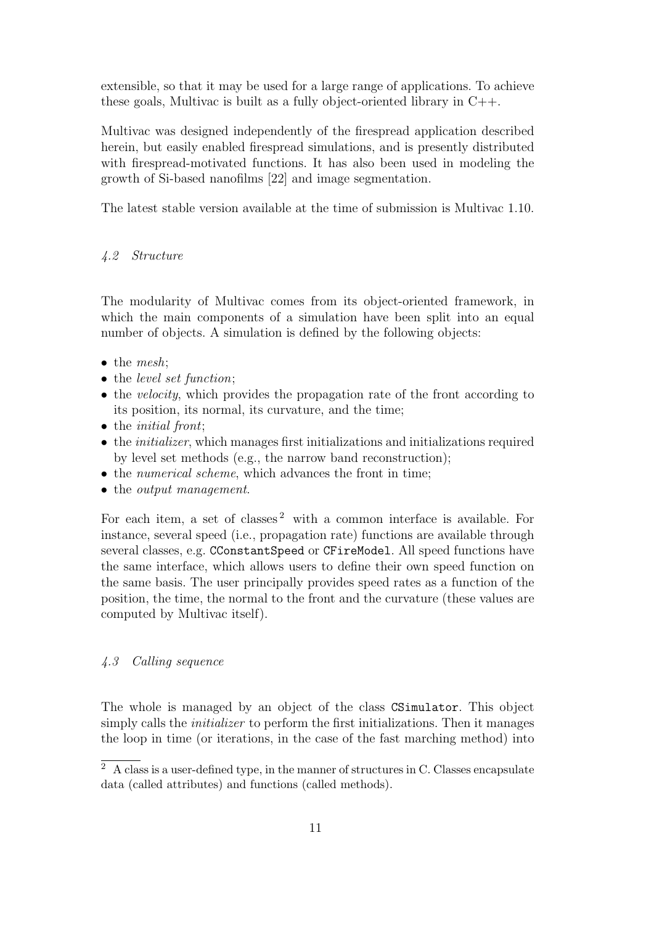extensible, so that it may be used for a large range of applications. To achieve these goals, Multivac is built as a fully object-oriented library in C++.

Multivac was designed independently of the firespread application described herein, but easily enabled firespread simulations, and is presently distributed with firespread-motivated functions. It has also been used in modeling the growth of Si-based nanofilms [22] and image segmentation.

The latest stable version available at the time of submission is Multivac 1.10.

## 4.2 Structure

The modularity of Multivac comes from its object-oriented framework, in which the main components of a simulation have been split into an equal number of objects. A simulation is defined by the following objects:

- $\bullet$  the *mesh*;
- the *level set function*;
- the velocity, which provides the propagation rate of the front according to its position, its normal, its curvature, and the time;
- the *initial* front;
- the *initializer*, which manages first initializations and initializations required by level set methods (e.g., the narrow band reconstruction);
- the *numerical scheme*, which advances the front in time;
- the *output* management.

For each item, a set of classes  $2$  with a common interface is available. For instance, several speed (i.e., propagation rate) functions are available through several classes, e.g. CConstantSpeed or CFireModel. All speed functions have the same interface, which allows users to define their own speed function on the same basis. The user principally provides speed rates as a function of the position, the time, the normal to the front and the curvature (these values are computed by Multivac itself).

## 4.3 Calling sequence

The whole is managed by an object of the class CSimulator. This object simply calls the *initializer* to perform the first initializations. Then it manages the loop in time (or iterations, in the case of the fast marching method) into

 $2\text{ A class is a user-defined type, in the manner of structures in C. Classes encapsulate}$ data (called attributes) and functions (called methods).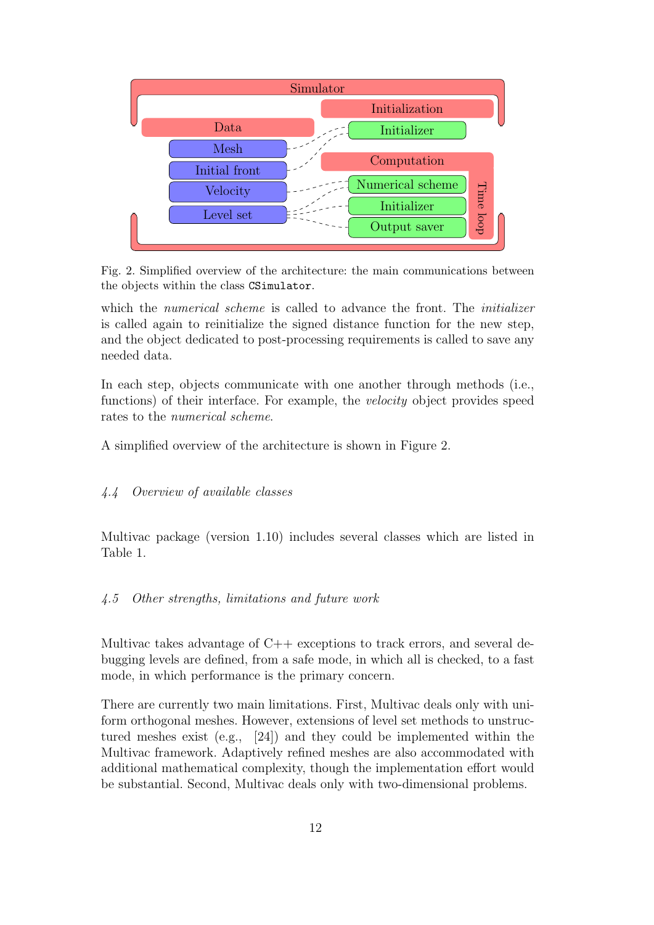

Fig. 2. Simplified overview of the architecture: the main communications between the objects within the class CSimulator.

which the *numerical scheme* is called to advance the front. The *initializer* is called again to reinitialize the signed distance function for the new step, and the object dedicated to post-processing requirements is called to save any needed data.

In each step, objects communicate with one another through methods (i.e., functions) of their interface. For example, the *velocity* object provides speed rates to the numerical scheme.

A simplified overview of the architecture is shown in Figure 2.

## 4.4 Overview of available classes

Multivac package (version 1.10) includes several classes which are listed in Table 1.

# 4.5 Other strengths, limitations and future work

Multivac takes advantage of  $C_{++}$  exceptions to track errors, and several debugging levels are defined, from a safe mode, in which all is checked, to a fast mode, in which performance is the primary concern.

There are currently two main limitations. First, Multivac deals only with uniform orthogonal meshes. However, extensions of level set methods to unstructured meshes exist (e.g., [24]) and they could be implemented within the Multivac framework. Adaptively refined meshes are also accommodated with additional mathematical complexity, though the implementation effort would be substantial. Second, Multivac deals only with two-dimensional problems.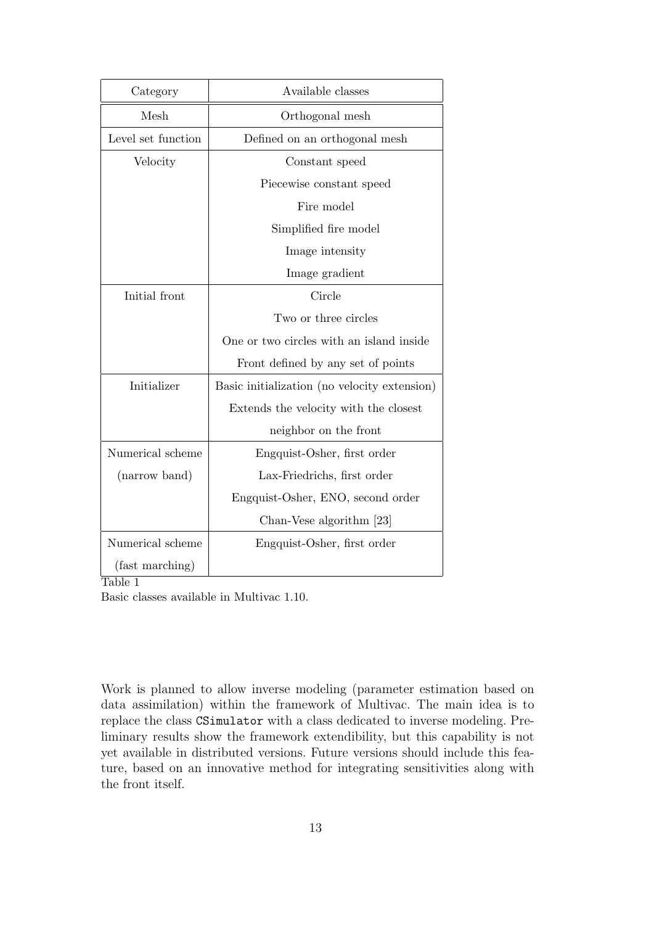| Category           | Available classes                            |  |
|--------------------|----------------------------------------------|--|
| Mesh               | Orthogonal mesh                              |  |
| Level set function | Defined on an orthogonal mesh                |  |
| Velocity           | Constant speed                               |  |
|                    | Piecewise constant speed                     |  |
|                    | Fire model                                   |  |
|                    | Simplified fire model                        |  |
|                    | Image intensity                              |  |
|                    | Image gradient                               |  |
| Initial front      | Circle                                       |  |
|                    | Two or three circles                         |  |
|                    | One or two circles with an island inside     |  |
|                    | Front defined by any set of points           |  |
| Initializer        | Basic initialization (no velocity extension) |  |
|                    | Extends the velocity with the closest        |  |
|                    | neighbor on the front                        |  |
| Numerical scheme   | Engquist-Osher, first order                  |  |
| (narrow band)      | Lax-Friedrichs, first order                  |  |
|                    | Engquist-Osher, ENO, second order            |  |
|                    | Chan-Vese algorithm $[23]$                   |  |
| Numerical scheme   | Engquist-Osher, first order                  |  |
| (fast marching)    |                                              |  |

Basic classes available in Multivac 1.10.

Work is planned to allow inverse modeling (parameter estimation based on data assimilation) within the framework of Multivac. The main idea is to replace the class CSimulator with a class dedicated to inverse modeling. Preliminary results show the framework extendibility, but this capability is not yet available in distributed versions. Future versions should include this feature, based on an innovative method for integrating sensitivities along with the front itself.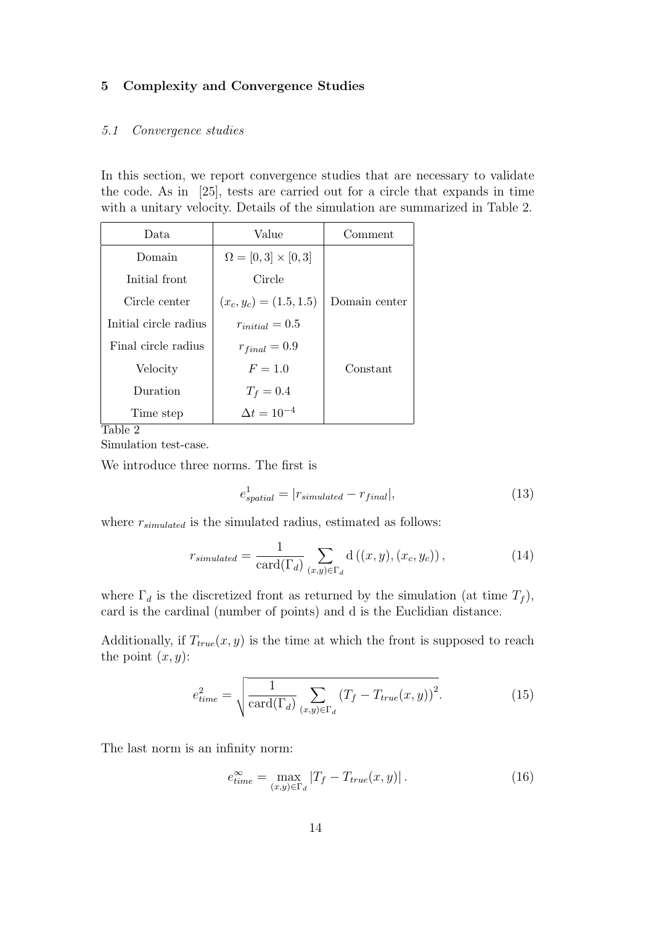## 5 Complexity and Convergence Studies

## 5.1 Convergence studies

In this section, we report convergence studies that are necessary to validate the code. As in [25], tests are carried out for a circle that expands in time with a unitary velocity. Details of the simulation are summarized in Table 2.

| Data.                 | Value                         | Comment       |
|-----------------------|-------------------------------|---------------|
| Domain                | $\Omega = [0,3] \times [0,3]$ |               |
| Initial front         | Circle                        |               |
| Circle center         | $(x_c, y_c) = (1.5, 1.5)$     | Domain center |
| Initial circle radius | $r_{initial}=0.5$             |               |
| Final circle radius   | $r_{final}=0.9$               |               |
| Velocity              | $F = 1.0$                     | Constant      |
| Duration              | $T_f = 0.4$                   |               |
| Time step             | $\Delta t = 10^{-4}$          |               |

Table 2

Simulation test-case.

We introduce three norms. The first is

$$
e_{spatial}^1 = |r_{simulated} - r_{final}|,\t\t(13)
$$

where  $r_{simulated}$  is the simulated radius, estimated as follows:

$$
r_{simulated} = \frac{1}{\text{card}(\Gamma_d)} \sum_{(x,y)\in\Gamma_d} d((x,y),(x_c,y_c)), \qquad (14)
$$

where  $\Gamma_d$  is the discretized front as returned by the simulation (at time  $T_f$ ), card is the cardinal (number of points) and d is the Euclidian distance.

Additionally, if  $T_{true}(x, y)$  is the time at which the front is supposed to reach the point  $(x, y)$ :

$$
e_{time}^2 = \sqrt{\frac{1}{\text{card}(\Gamma_d)} \sum_{(x,y)\in\Gamma_d} (T_f - T_{true}(x,y))^2}.
$$
 (15)

The last norm is an infinity norm:

$$
e_{time}^{\infty} = \max_{(x,y)\in\Gamma_d} |T_f - T_{true}(x,y)|.
$$
 (16)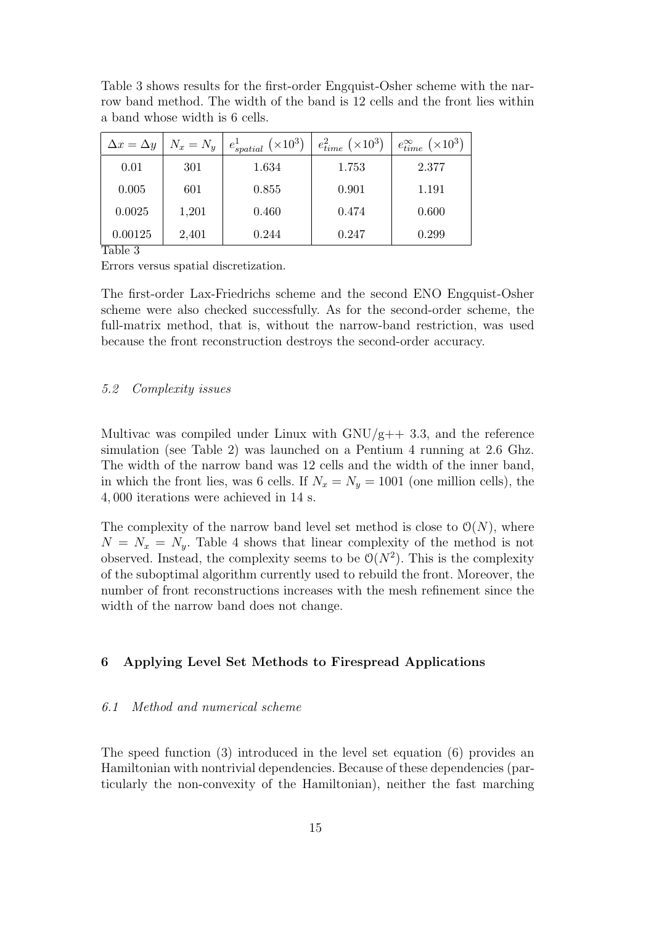| $\Delta x = \Delta y$ | $N_x = N_y$ | $e_{spatial}^{1} (\times 10^{3})$ | $e_{time}^{2} (\times 10^{3})$ | $e^{\infty}_{time}$ (×10 <sup>3</sup> ) |
|-----------------------|-------------|-----------------------------------|--------------------------------|-----------------------------------------|
| 0.01                  | 301         | 1.634                             | 1.753                          | 2.377                                   |
| 0.005                 | 601         | 0.855                             | 0.901                          | 1.191                                   |
| 0.0025                | 1,201       | 0.460                             | 0.474                          | 0.600                                   |
| 0.00125               | 2,401       | 0.244                             | 0.247                          | 0.299                                   |

Table 3 shows results for the first-order Engquist-Osher scheme with the narrow band method. The width of the band is 12 cells and the front lies within a band whose width is 6 cells.

Errors versus spatial discretization.

The first-order Lax-Friedrichs scheme and the second ENO Engquist-Osher scheme were also checked successfully. As for the second-order scheme, the full-matrix method, that is, without the narrow-band restriction, was used because the front reconstruction destroys the second-order accuracy.

#### 5.2 Complexity issues

Multivac was compiled under Linux with  $\frac{GNU}{g++}$  3.3, and the reference simulation (see Table 2) was launched on a Pentium 4 running at 2.6 Ghz. The width of the narrow band was 12 cells and the width of the inner band, in which the front lies, was 6 cells. If  $N_x = N_y = 1001$  (one million cells), the 4, 000 iterations were achieved in 14 s.

The complexity of the narrow band level set method is close to  $\mathcal{O}(N)$ , where  $N = N_x = N_y$ . Table 4 shows that linear complexity of the method is not observed. Instead, the complexity seems to be  $\mathcal{O}(N^2)$ . This is the complexity of the suboptimal algorithm currently used to rebuild the front. Moreover, the number of front reconstructions increases with the mesh refinement since the width of the narrow band does not change.

## 6 Applying Level Set Methods to Firespread Applications

## 6.1 Method and numerical scheme

The speed function (3) introduced in the level set equation (6) provides an Hamiltonian with nontrivial dependencies. Because of these dependencies (particularly the non-convexity of the Hamiltonian), neither the fast marching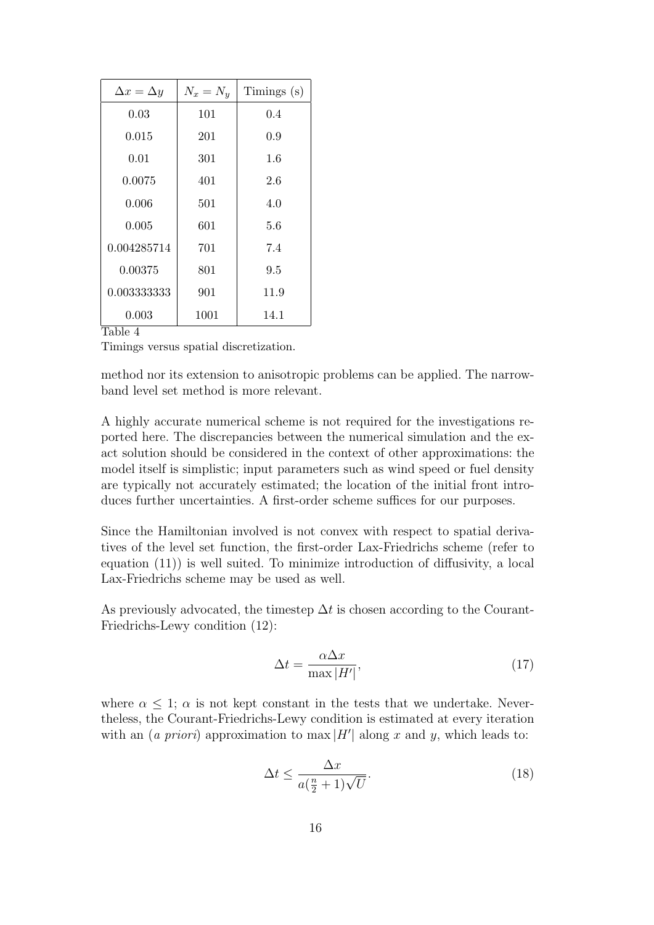| $\Delta x = \Delta y$ | $N_x = N_y$ | Timings (s) |
|-----------------------|-------------|-------------|
| 0.03                  | 101         | 0.4         |
| 0.015                 | 201         | 0.9         |
| 0.01                  | 301         | 1.6         |
| 0.0075                | 401         | 2.6         |
| 0.006                 | 501         | 4.0         |
| 0.005                 | 601         | 5.6         |
| 0.004285714           | 701         | 7.4         |
| 0.00375               | 801         | 9.5         |
| 0.003333333           | 901         | 11.9        |
| 0.003                 | 1001        | 14.1        |

Timings versus spatial discretization.

method nor its extension to anisotropic problems can be applied. The narrowband level set method is more relevant.

A highly accurate numerical scheme is not required for the investigations reported here. The discrepancies between the numerical simulation and the exact solution should be considered in the context of other approximations: the model itself is simplistic; input parameters such as wind speed or fuel density are typically not accurately estimated; the location of the initial front introduces further uncertainties. A first-order scheme suffices for our purposes.

Since the Hamiltonian involved is not convex with respect to spatial derivatives of the level set function, the first-order Lax-Friedrichs scheme (refer to equation (11)) is well suited. To minimize introduction of diffusivity, a local Lax-Friedrichs scheme may be used as well.

As previously advocated, the timestep  $\Delta t$  is chosen according to the Courant-Friedrichs-Lewy condition (12):

$$
\Delta t = \frac{\alpha \Delta x}{\max |H'|},\tag{17}
$$

where  $\alpha \leq 1$ ;  $\alpha$  is not kept constant in the tests that we undertake. Nevertheless, the Courant-Friedrichs-Lewy condition is estimated at every iteration with an (a priori) approximation to  $\max |H'|$  along x and y, which leads to:

$$
\Delta t \le \frac{\Delta x}{a(\frac{n}{2} + 1)\sqrt{U}}.\tag{18}
$$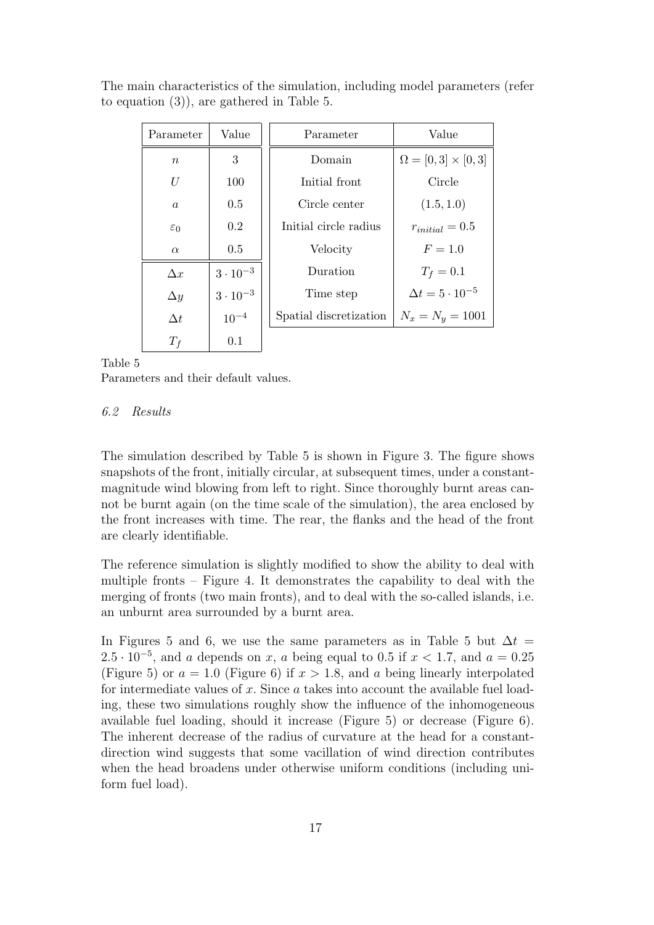| Parameter        | Value            | Parameter              | Value                         |
|------------------|------------------|------------------------|-------------------------------|
| $\boldsymbol{n}$ | 3                | Domain                 | $\Omega = [0,3] \times [0,3]$ |
| U                | 100              | Initial front          | Circle                        |
| $\boldsymbol{a}$ | 0.5              | Circle center          | (1.5, 1.0)                    |
| $\varepsilon_0$  | 0.2              | Initial circle radius  | $r_{initial}=0.5$             |
| $\alpha$         | 0.5              | Velocity               | $F = 1.0$                     |
| $\Delta x$       | $3\cdot 10^{-3}$ | Duration               | $T_f = 0.1$                   |
| $\Delta y$       | $3\cdot 10^{-3}$ | Time step              | $\Delta t = 5 \cdot 10^{-5}$  |
| $\Delta t$       | $10^{-4}$        | Spatial discretization | $N_x = N_y = 1001$            |
| $T_f$            | 0.1              |                        |                               |

The main characteristics of the simulation, including model parameters (refer to equation (3)), are gathered in Table 5.

Parameters and their default values.

# 6.2 Results

The simulation described by Table 5 is shown in Figure 3. The figure shows snapshots of the front, initially circular, at subsequent times, under a constantmagnitude wind blowing from left to right. Since thoroughly burnt areas cannot be burnt again (on the time scale of the simulation), the area enclosed by the front increases with time. The rear, the flanks and the head of the front are clearly identifiable.

The reference simulation is slightly modified to show the ability to deal with multiple fronts – Figure 4. It demonstrates the capability to deal with the merging of fronts (two main fronts), and to deal with the so-called islands, i.e. an unburnt area surrounded by a burnt area.

In Figures 5 and 6, we use the same parameters as in Table 5 but  $\Delta t =$  $2.5 \cdot 10^{-5}$ , and a depends on x, a being equal to 0.5 if  $x < 1.7$ , and  $a = 0.25$ (Figure 5) or  $a = 1.0$  (Figure 6) if  $x > 1.8$ , and a being linearly interpolated for intermediate values of x. Since  $\alpha$  takes into account the available fuel loading, these two simulations roughly show the influence of the inhomogeneous available fuel loading, should it increase (Figure 5) or decrease (Figure 6). The inherent decrease of the radius of curvature at the head for a constantdirection wind suggests that some vacillation of wind direction contributes when the head broadens under otherwise uniform conditions (including uniform fuel load).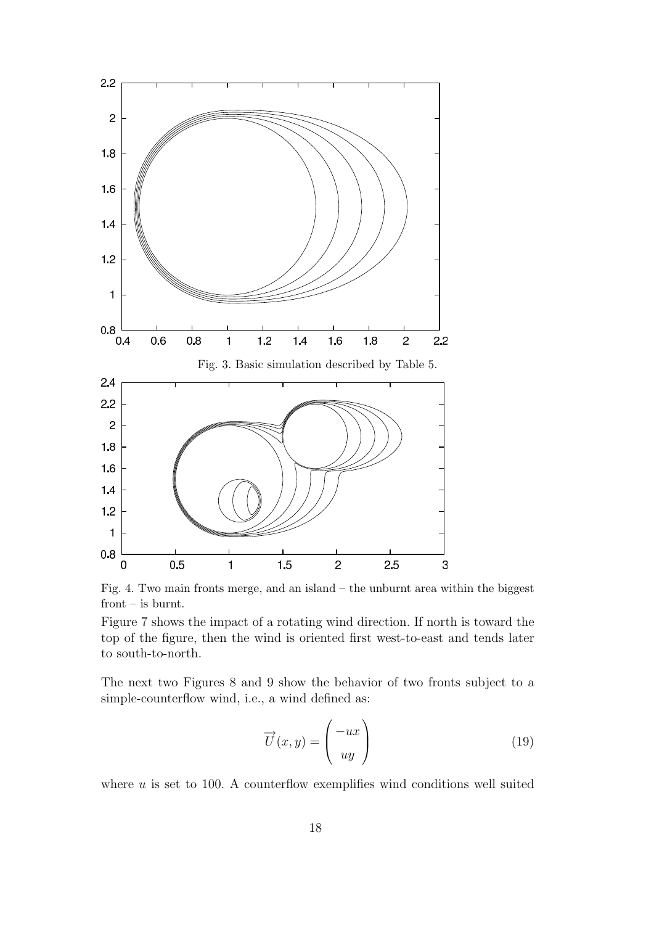

Fig. 4. Two main fronts merge, and an island – the unburnt area within the biggest front – is burnt.

Figure 7 shows the impact of a rotating wind direction. If north is toward the top of the figure, then the wind is oriented first west-to-east and tends later to south-to-north.

The next two Figures 8 and 9 show the behavior of two fronts subject to a simple-counterflow wind, i.e., a wind defined as:

$$
\overrightarrow{U}(x,y) = \begin{pmatrix} -ux \\ uy \end{pmatrix}
$$
 (19)

where  $u$  is set to 100. A counterflow exemplifies wind conditions well suited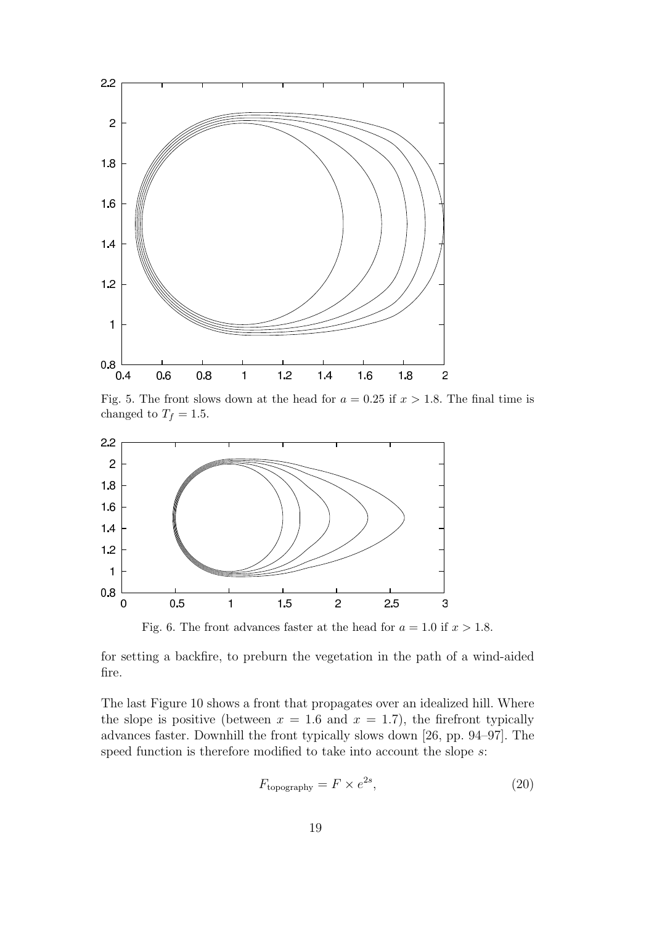

Fig. 5. The front slows down at the head for  $a = 0.25$  if  $x > 1.8$ . The final time is changed to  $T_f = 1.5$ .



Fig. 6. The front advances faster at the head for  $a = 1.0$  if  $x > 1.8$ .

for setting a backfire, to preburn the vegetation in the path of a wind-aided fire.

The last Figure 10 shows a front that propagates over an idealized hill. Where the slope is positive (between  $x = 1.6$  and  $x = 1.7$ ), the firefront typically advances faster. Downhill the front typically slows down [26, pp. 94–97]. The speed function is therefore modified to take into account the slope  $s$ :

$$
F_{\text{topography}} = F \times e^{2s},\tag{20}
$$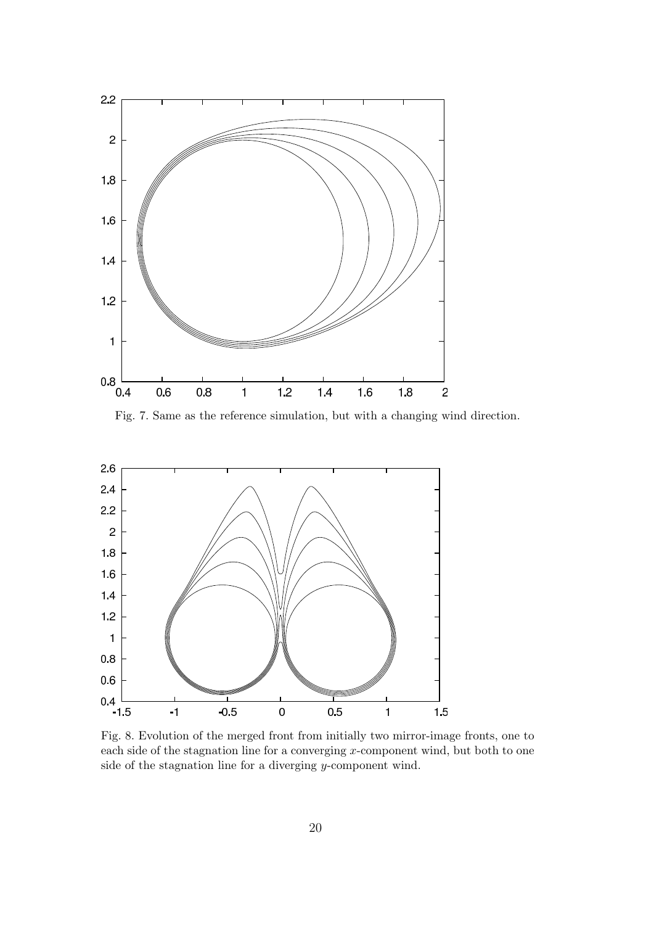

Fig. 7. Same as the reference simulation, but with a changing wind direction.



Fig. 8. Evolution of the merged front from initially two mirror-image fronts, one to each side of the stagnation line for a converging x-component wind, but both to one side of the stagnation line for a diverging y-component wind.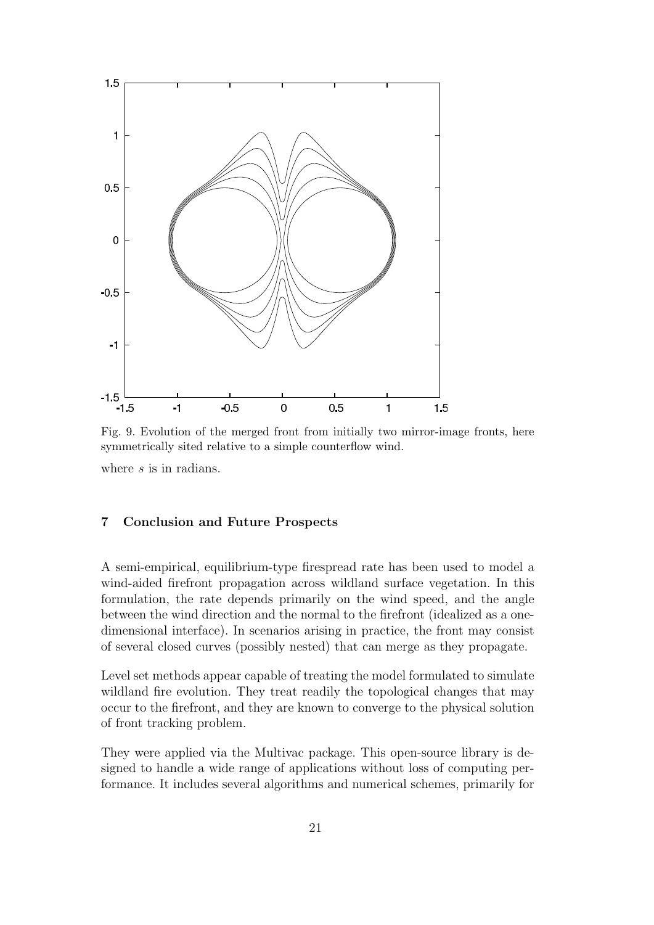

Fig. 9. Evolution of the merged front from initially two mirror-image fronts, here symmetrically sited relative to a simple counterflow wind.

where s is in radians.

# 7 Conclusion and Future Prospects

A semi-empirical, equilibrium-type firespread rate has been used to model a wind-aided firefront propagation across wildland surface vegetation. In this formulation, the rate depends primarily on the wind speed, and the angle between the wind direction and the normal to the firefront (idealized as a onedimensional interface). In scenarios arising in practice, the front may consist of several closed curves (possibly nested) that can merge as they propagate.

Level set methods appear capable of treating the model formulated to simulate wildland fire evolution. They treat readily the topological changes that may occur to the firefront, and they are known to converge to the physical solution of front tracking problem.

They were applied via the Multivac package. This open-source library is designed to handle a wide range of applications without loss of computing performance. It includes several algorithms and numerical schemes, primarily for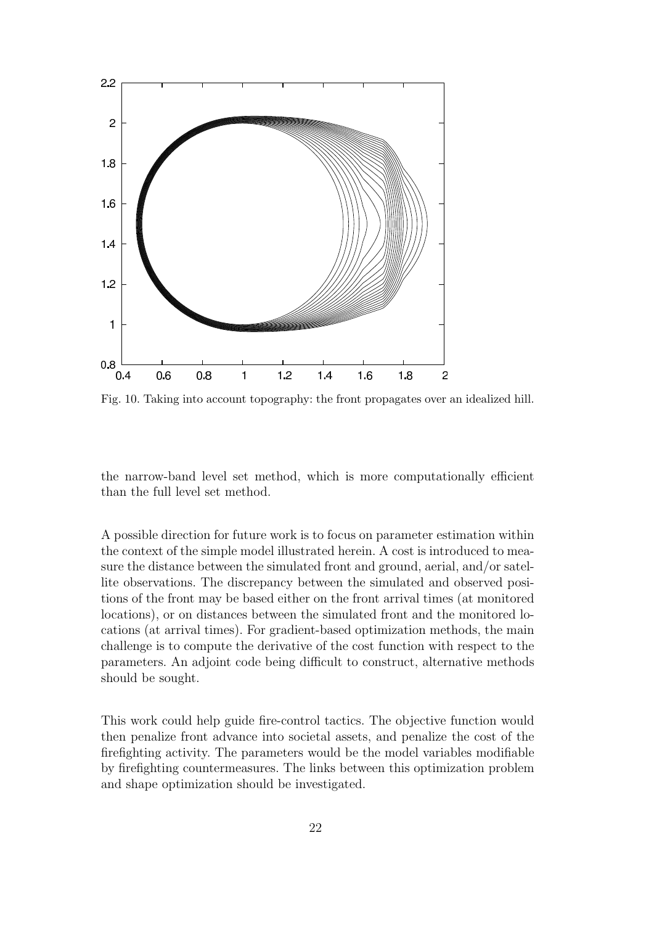

Fig. 10. Taking into account topography: the front propagates over an idealized hill.

the narrow-band level set method, which is more computationally efficient than the full level set method.

A possible direction for future work is to focus on parameter estimation within the context of the simple model illustrated herein. A cost is introduced to measure the distance between the simulated front and ground, aerial, and/or satellite observations. The discrepancy between the simulated and observed positions of the front may be based either on the front arrival times (at monitored locations), or on distances between the simulated front and the monitored locations (at arrival times). For gradient-based optimization methods, the main challenge is to compute the derivative of the cost function with respect to the parameters. An adjoint code being difficult to construct, alternative methods should be sought.

This work could help guide fire-control tactics. The objective function would then penalize front advance into societal assets, and penalize the cost of the firefighting activity. The parameters would be the model variables modifiable by firefighting countermeasures. The links between this optimization problem and shape optimization should be investigated.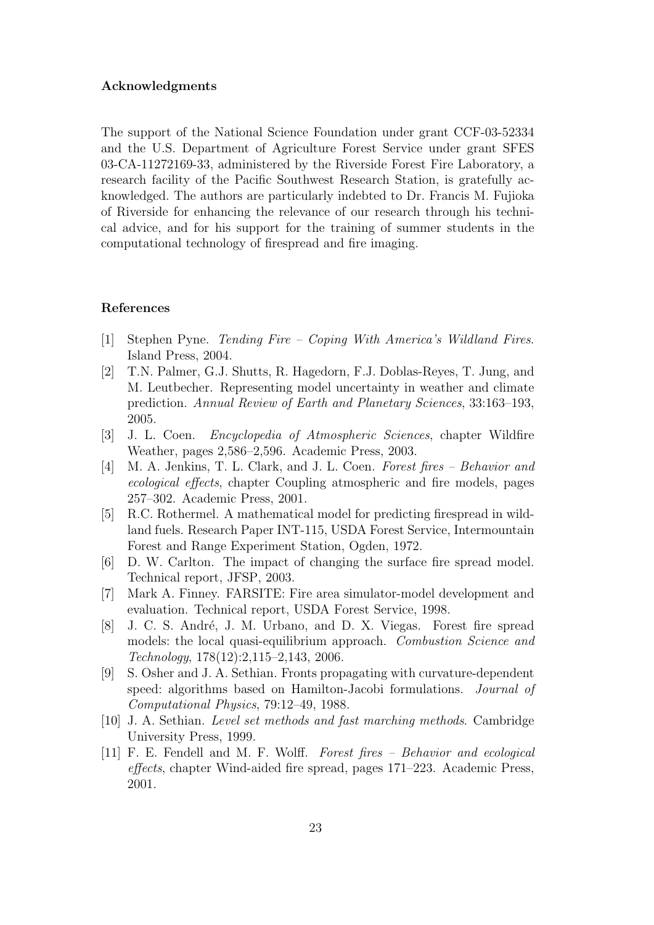## Acknowledgments

The support of the National Science Foundation under grant CCF-03-52334 and the U.S. Department of Agriculture Forest Service under grant SFES 03-CA-11272169-33, administered by the Riverside Forest Fire Laboratory, a research facility of the Pacific Southwest Research Station, is gratefully acknowledged. The authors are particularly indebted to Dr. Francis M. Fujioka of Riverside for enhancing the relevance of our research through his technical advice, and for his support for the training of summer students in the computational technology of firespread and fire imaging.

## References

- [1] Stephen Pyne. Tending Fire Coping With America's Wildland Fires. Island Press, 2004.
- [2] T.N. Palmer, G.J. Shutts, R. Hagedorn, F.J. Doblas-Reyes, T. Jung, and M. Leutbecher. Representing model uncertainty in weather and climate prediction. Annual Review of Earth and Planetary Sciences, 33:163–193, 2005.
- [3] J. L. Coen. Encyclopedia of Atmospheric Sciences, chapter Wildfire Weather, pages 2,586–2,596. Academic Press, 2003.
- [4] M. A. Jenkins, T. L. Clark, and J. L. Coen. Forest fires Behavior and ecological effects, chapter Coupling atmospheric and fire models, pages 257–302. Academic Press, 2001.
- [5] R.C. Rothermel. A mathematical model for predicting firespread in wildland fuels. Research Paper INT-115, USDA Forest Service, Intermountain Forest and Range Experiment Station, Ogden, 1972.
- [6] D. W. Carlton. The impact of changing the surface fire spread model. Technical report, JFSP, 2003.
- [7] Mark A. Finney. FARSITE: Fire area simulator-model development and evaluation. Technical report, USDA Forest Service, 1998.
- [8] J. C. S. André, J. M. Urbano, and D. X. Viegas. Forest fire spread models: the local quasi-equilibrium approach. Combustion Science and Technology, 178(12):2,115–2,143, 2006.
- [9] S. Osher and J. A. Sethian. Fronts propagating with curvature-dependent speed: algorithms based on Hamilton-Jacobi formulations. Journal of Computational Physics, 79:12–49, 1988.
- [10] J. A. Sethian. Level set methods and fast marching methods. Cambridge University Press, 1999.
- [11] F. E. Fendell and M. F. Wolff. Forest fires Behavior and ecological effects, chapter Wind-aided fire spread, pages 171–223. Academic Press, 2001.